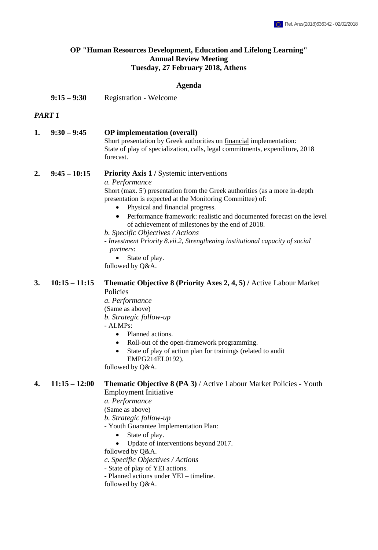### **OP "Human Resources Development, Education and Lifelong Learning" Annual Review Meeting Tuesday, 27 February 2018, Athens**

#### **Agenda**

**9:15 – 9:30** Registration - Welcome

#### *PART 1*

| 1. | $9:30 - 9:45$ | <b>OP</b> implementation (overall)                                           |
|----|---------------|------------------------------------------------------------------------------|
|    |               | Short presentation by Greek authorities on financial implementation:         |
|    |               | State of play of specialization, calls, legal commitments, expenditure, 2018 |
|    |               | forecast.                                                                    |

# **2. 9:45 – 10:15 Priority Axis 1 /** Systemic interventions

*a. Performance*

Short (max. 5') presentation from the Greek authorities (as a more in-depth presentation is expected at the Monitoring Committee) of:

- Physical and financial progress.
- Performance framework: realistic and documented forecast on the level of achievement of milestones by the end of 2018.

#### *b. Specific Objectives / Actions*

- *Investment Priority 8.vii.2, Strengthening institutional capacity of social partners*:
	- State of play.

followed by Q&A.

## **3. 10:15 – 11:15 Thematic Objective 8 (Priority Axes 2, 4, 5) /** Active Labour Market Policies

- *a. Performance*
- (Same as above)

*b. Strategic follow-up* 

# - ALMPs:

- Planned actions.
- Roll-out of the open-framework programming.
- State of play of action plan for trainings (related to audit EMPG214EL0192).

followed by Q&A.

#### **4. 11:15 – 12:00 Thematic Objective 8 (PA 3)** / Active Labour Market Policies - Youth Employment Initiative

*a. Performance* 

(Same as above)

*b. Strategic follow-up* 

- Youth Guarantee Implementation Plan:
	- State of play.
	- Update of interventions beyond 2017.

followed by Q&A.

*c. Specific Objectives / Actions*

- State of play of YEI actions.

- Planned actions under YEI – timeline.

followed by Q&A.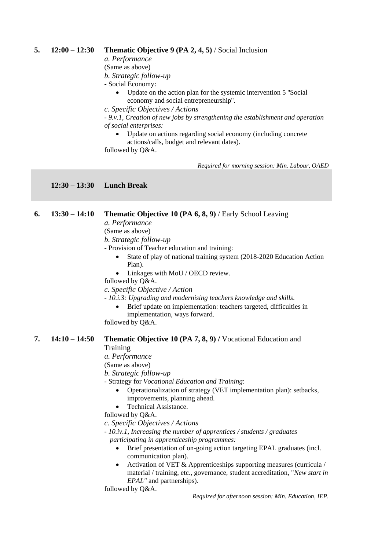### **5. 12:00 – 12:30 Thematic Objective 9 (PA 2, 4, 5)** / Social Inclusion

*a. Performance* 

(Same as above)

*b. Strategic follow-up* 

- Social Economy:

- Update on the action plan for the systemic intervention 5 ''Social economy and social entrepreneurship''.
- *c. Specific Objectives / Actions*

*- 9.v.1, Creation of new jobs by strengthening the establishment and operation of social enterprises:*

 Update on actions regarding social economy (including concrete actions/calls, budget and relevant dates).

followed by Q&A.

*Required for morning session: Min. Labour, OAED*

**12:30 – 13:30 Lunch Break**

### **6. 13:30 – 14:10 Thematic Objective 10 (PA 6, 8, 9)** / Early School Leaving

*a. Performance* 

(Same as above)

*b. Strategic follow-up* 

- Provision of Teacher education and training:
	- State of play of national training system (2018-2020 Education Action Plan).
	- Linkages with MoU / OECD review.

followed by Q&A.

*c. Specific Objective / Action*

*- 10.i.3: Upgrading and modernising teachers knowledge and skills.*

 Brief update on implementation: teachers targeted, difficulties in implementation, ways forward.

followed by Q&A.

# **7. 14:10 – 14:50 Thematic Objective 10 (PA 7, 8, 9) /** Vocational Education and

Training

*a. Performance* 

(Same as above)

*b. Strategic follow-up* 

- Strategy for *Vocational Education and Training*:

- Operationalization of strategy (VET implementation plan): setbacks, improvements, planning ahead.
- Technical Assistance.

followed by Q&A.

*c. Specific Objectives / Actions*

*- 10.iv.1, Increasing the number of apprentices / students / graduates participating in apprenticeship programmes:*

- Brief presentation of on-going action targeting EPAL graduates (incl. communication plan).
- Activation of VET & Apprenticeships supporting measures (curricula / material / training, etc., governance, student accreditation, "*New start in EPAL"* and partnerships).

followed by Q&A.

*Required for afternoon session: Min. Education, IEP.*